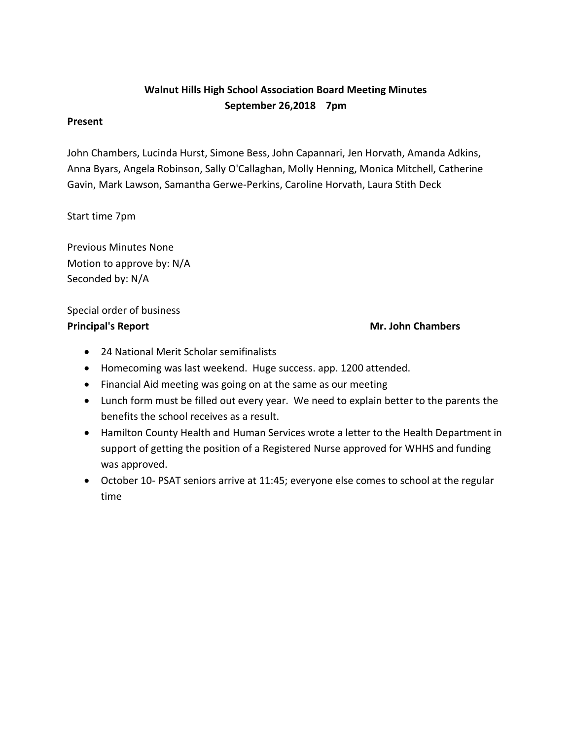# **Walnut Hills High School Association Board Meeting Minutes September 26,2018 7pm**

#### **Present**

John Chambers, Lucinda Hurst, Simone Bess, John Capannari, Jen Horvath, Amanda Adkins, Anna Byars, Angela Robinson, Sally O'Callaghan, Molly Henning, Monica Mitchell, Catherine Gavin, Mark Lawson, Samantha Gerwe-Perkins, Caroline Horvath, Laura Stith Deck

Start time 7pm

Previous Minutes None Motion to approve by: N/A Seconded by: N/A

Special order of business **Principal's Report Mr. John Chambers** 

- 24 National Merit Scholar semifinalists
- Homecoming was last weekend. Huge success. app. 1200 attended.
- Financial Aid meeting was going on at the same as our meeting
- Lunch form must be filled out every year. We need to explain better to the parents the benefits the school receives as a result.
- Hamilton County Health and Human Services wrote a letter to the Health Department in support of getting the position of a Registered Nurse approved for WHHS and funding was approved.
- October 10- PSAT seniors arrive at 11:45; everyone else comes to school at the regular time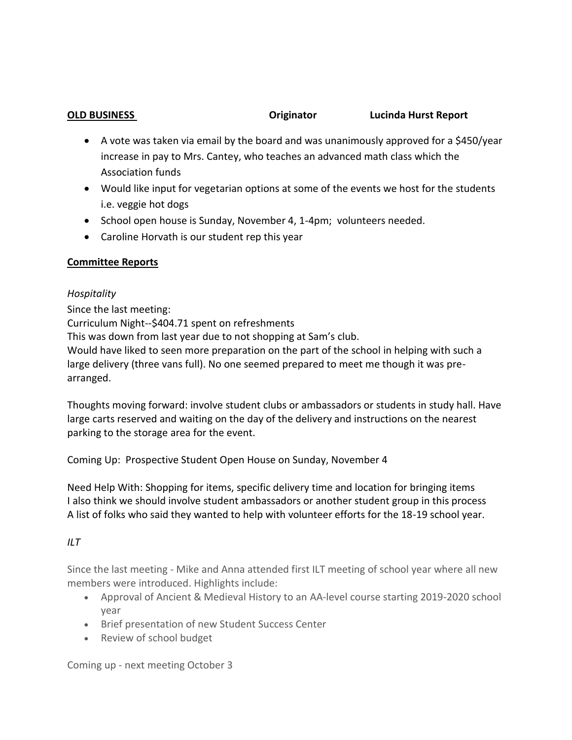**OLD BUSINESS Originator Lucinda Hurst Report**

- A vote was taken via email by the board and was unanimously approved for a \$450/year increase in pay to Mrs. Cantey, who teaches an advanced math class which the Association funds
- Would like input for vegetarian options at some of the events we host for the students i.e. veggie hot dogs
- School open house is Sunday, November 4, 1-4pm; volunteers needed.
- Caroline Horvath is our student rep this year

## **Committee Reports**

## *Hospitality*

Since the last meeting: Curriculum Night--\$404.71 spent on refreshments This was down from last year due to not shopping at Sam's club. Would have liked to seen more preparation on the part of the school in helping with such a large delivery (three vans full). No one seemed prepared to meet me though it was prearranged.

Thoughts moving forward: involve student clubs or ambassadors or students in study hall. Have large carts reserved and waiting on the day of the delivery and instructions on the nearest parking to the storage area for the event.

Coming Up: Prospective Student Open House on Sunday, November 4

Need Help With: Shopping for items, specific delivery time and location for bringing items I also think we should involve student ambassadors or another student group in this process A list of folks who said they wanted to help with volunteer efforts for the 18-19 school year.

# *ILT*

Since the last meeting - Mike and Anna attended first ILT meeting of school year where all new members were introduced. Highlights include:

- Approval of Ancient & Medieval History to an AA-level course starting 2019-2020 school year
- Brief presentation of new Student Success Center
- Review of school budget

Coming up - next meeting October 3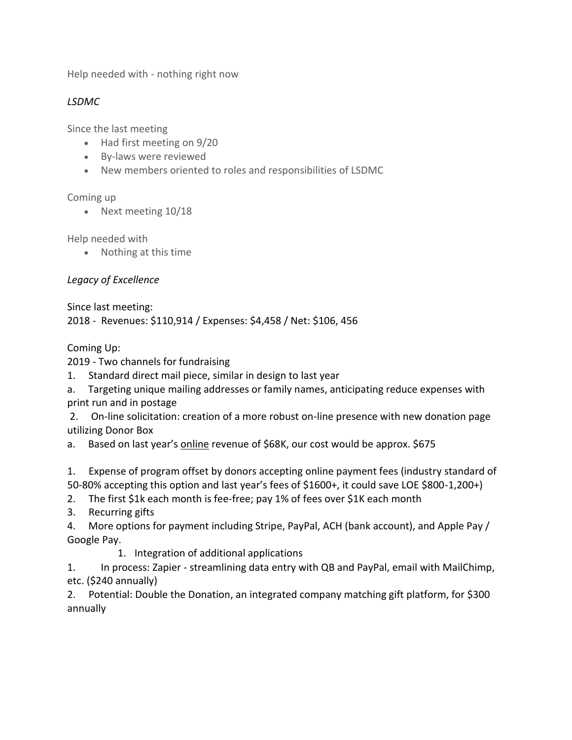Help needed with - nothing right now

### *LSDMC*

Since the last meeting

- Had first meeting on 9/20
- By-laws were reviewed
- New members oriented to roles and responsibilities of LSDMC

### Coming up

• Next meeting 10/18

Help needed with

Nothing at this time

# *Legacy of Excellence*

Since last meeting:

2018 - Revenues: \$110,914 / Expenses: \$4,458 / Net: \$106, 456

Coming Up:

2019 - Two channels for fundraising

- 1. Standard direct mail piece, similar in design to last year
- a. Targeting unique mailing addresses or family names, anticipating reduce expenses with print run and in postage

2. On-line solicitation: creation of a more robust on-line presence with new donation page utilizing Donor Box

a. Based on last year's online revenue of \$68K, our cost would be approx. \$675

1. Expense of program offset by donors accepting online payment fees (industry standard of 50-80% accepting this option and last year's fees of \$1600+, it could save LOE \$800-1,200+)

2. The first \$1k each month is fee-free; pay 1% of fees over \$1K each month

3. Recurring gifts

4. More options for payment including Stripe, PayPal, ACH (bank account), and Apple Pay / Google Pay.

1. Integration of additional applications

1. In process: Zapier - streamlining data entry with QB and PayPal, email with MailChimp, etc. (\$240 annually)

2. Potential: Double the Donation, an integrated company matching gift platform, for \$300 annually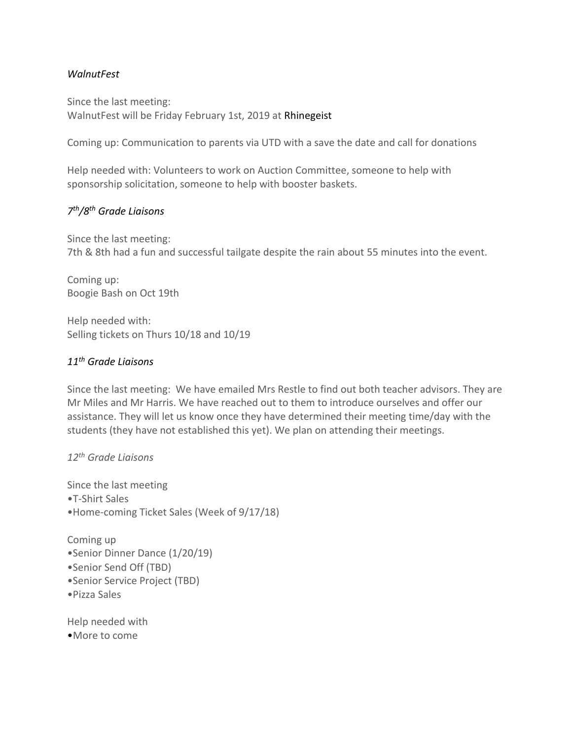#### *WalnutFest*

Since the last meeting: WalnutFest will be Friday February 1st, 2019 at Rhinegeist

Coming up: Communication to parents via UTD with a save the date and call for donations

Help needed with: Volunteers to work on Auction Committee, someone to help with sponsorship solicitation, someone to help with booster baskets.

## *7 th/8th Grade Liaisons*

Since the last meeting: 7th & 8th had a fun and successful tailgate despite the rain about 55 minutes into the event.

Coming up: Boogie Bash on Oct 19th

Help needed with: Selling tickets on Thurs 10/18 and 10/19

### *11th Grade Liaisons*

Since the last meeting: We have emailed Mrs Restle to find out both teacher advisors. They are Mr Miles and Mr Harris. We have reached out to them to introduce ourselves and offer our assistance. They will let us know once they have determined their meeting time/day with the students (they have not established this yet). We plan on attending their meetings.

*12th Grade Liaisons*

Since the last meeting •T-Shirt Sales •Home-coming Ticket Sales (Week of 9/17/18)

Coming up •Senior Dinner Dance (1/20/19) •Senior Send Off (TBD) •Senior Service Project (TBD) •Pizza Sales

Help needed with •More to come